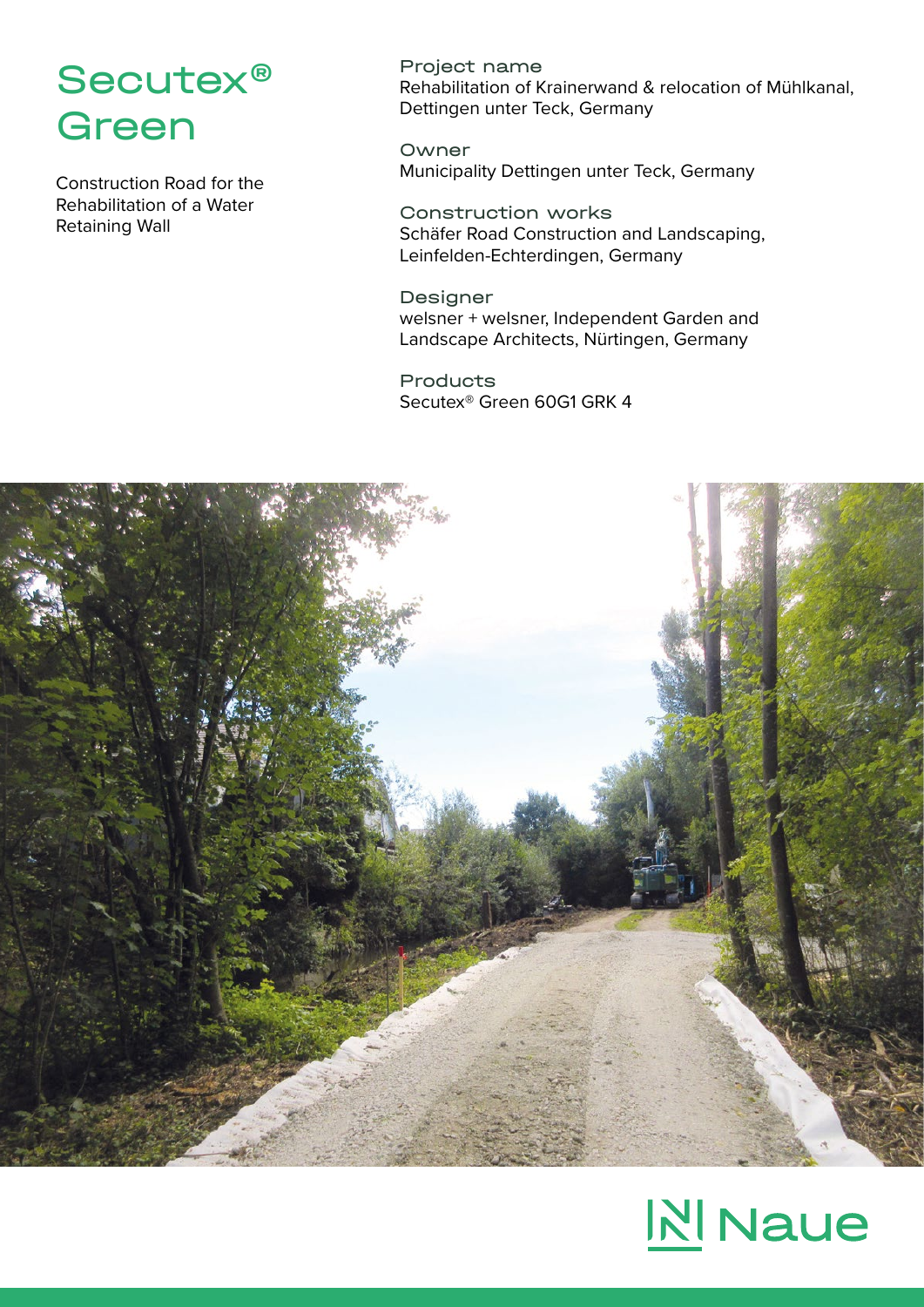## Secutex® Green

Construction Road for the Rehabilitation of a Water Retaining Wall

Project name Rehabilitation of Krainerwand & relocation of Mühlkanal, Dettingen unter Teck, Germany

Owner Municipality Dettingen unter Teck, Germany

Construction works Schäfer Road Construction and Landscaping, Leinfelden-Echterdingen, Germany

Designer welsner + welsner, Independent Garden and Landscape Architects, Nürtingen, Germany

Products Secutex® Green 60G1 GRK 4



# **NI** Naue